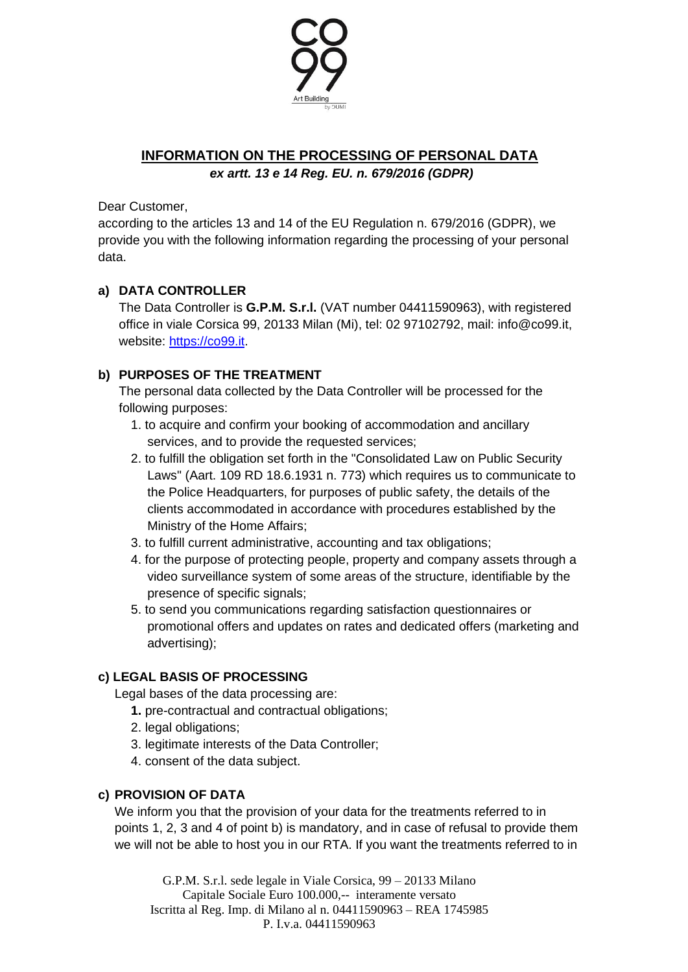

# **INFORMATION ON THE PROCESSING OF PERSONAL DATA**

*ex artt. 13 e 14 Reg. EU. n. 679/2016 (GDPR)*

Dear Customer,

according to the articles 13 and 14 of the EU Regulation n. 679/2016 (GDPR), we provide you with the following information regarding the processing of your personal data.

## **a) DATA CONTROLLER**

The Data Controller is **G.P.M. S.r.l.** (VAT number 04411590963), with registered office in viale Corsica 99, 20133 Milan (Mi), tel: 02 97102792, mail: info@co99.it, website: [https://co99.it.](https://co99.it/)

## **b) PURPOSES OF THE TREATMENT**

The personal data collected by the Data Controller will be processed for the following purposes:

- 1. to acquire and confirm your booking of accommodation and ancillary services, and to provide the requested services;
- 2. to fulfill the obligation set forth in the "Consolidated Law on Public Security Laws" (Aart. 109 RD 18.6.1931 n. 773) which requires us to communicate to the Police Headquarters, for purposes of public safety, the details of the clients accommodated in accordance with procedures established by the Ministry of the Home Affairs;
- 3. to fulfill current administrative, accounting and tax obligations;
- 4. for the purpose of protecting people, property and company assets through a video surveillance system of some areas of the structure, identifiable by the presence of specific signals;
- 5. to send you communications regarding satisfaction questionnaires or promotional offers and updates on rates and dedicated offers (marketing and advertising);

### **c) LEGAL BASIS OF PROCESSING**

Legal bases of the data processing are:

- **1.** pre-contractual and contractual obligations;
- 2. legal obligations;
- 3. legitimate interests of the Data Controller;
- 4. consent of the data subject.

### **c) PROVISION OF DATA**

We inform you that the provision of your data for the treatments referred to in points 1, 2, 3 and 4 of point b) is mandatory, and in case of refusal to provide them we will not be able to host you in our RTA. If you want the treatments referred to in

G.P.M. S.r.l. sede legale in Viale Corsica, 99 – 20133 Milano Capitale Sociale Euro 100.000,-- interamente versato Iscritta al Reg. Imp. di Milano al n. 04411590963 – REA 1745985 P. I.v.a. 04411590963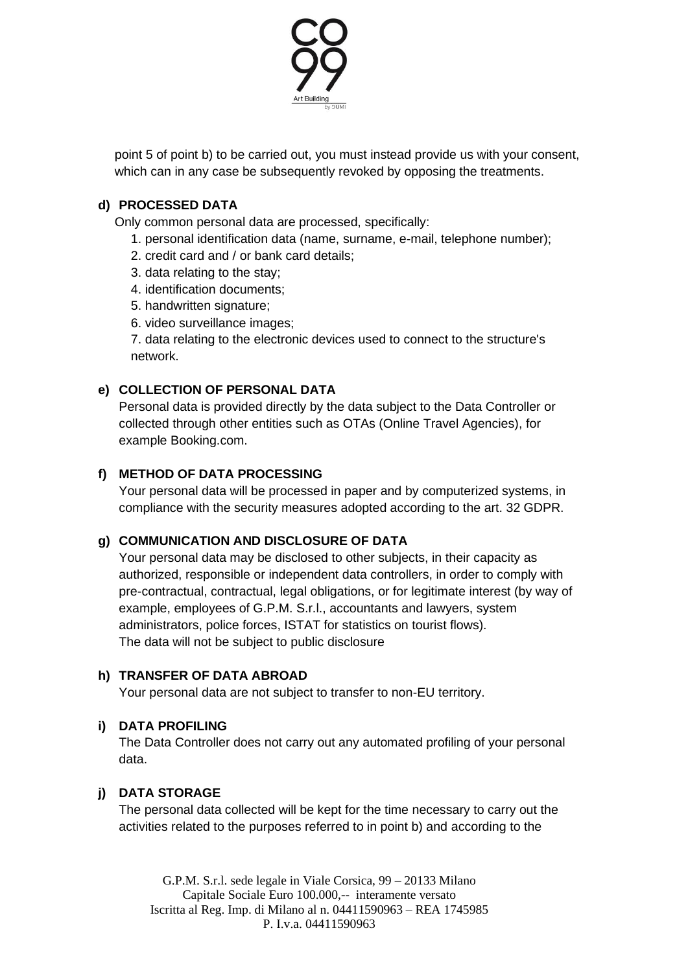

point 5 of point b) to be carried out, you must instead provide us with your consent, which can in any case be subsequently revoked by opposing the treatments.

## **d) PROCESSED DATA**

Only common personal data are processed, specifically:

- 1. personal identification data (name, surname, e-mail, telephone number);
- 2. credit card and / or bank card details;
- 3. data relating to the stay;
- 4. identification documents;
- 5. handwritten signature;
- 6. video surveillance images;

7. data relating to the electronic devices used to connect to the structure's network.

### **e) COLLECTION OF PERSONAL DATA**

Personal data is provided directly by the data subject to the Data Controller or collected through other entities such as OTAs (Online Travel Agencies), for example Booking.com.

### **f) METHOD OF DATA PROCESSING**

Your personal data will be processed in paper and by computerized systems, in compliance with the security measures adopted according to the art. 32 GDPR.

### **g) COMMUNICATION AND DISCLOSURE OF DATA**

Your personal data may be disclosed to other subjects, in their capacity as authorized, responsible or independent data controllers, in order to comply with pre-contractual, contractual, legal obligations, or for legitimate interest (by way of example, employees of G.P.M. S.r.l., accountants and lawyers, system administrators, police forces, ISTAT for statistics on tourist flows). The data will not be subject to public disclosure

### **h) TRANSFER OF DATA ABROAD**

Your personal data are not subject to transfer to non-EU territory.

### **i) DATA PROFILING**

The Data Controller does not carry out any automated profiling of your personal data.

### **j) DATA STORAGE**

The personal data collected will be kept for the time necessary to carry out the activities related to the purposes referred to in point b) and according to the

G.P.M. S.r.l. sede legale in Viale Corsica, 99 – 20133 Milano Capitale Sociale Euro 100.000,-- interamente versato Iscritta al Reg. Imp. di Milano al n. 04411590963 – REA 1745985 P. I.v.a. 04411590963